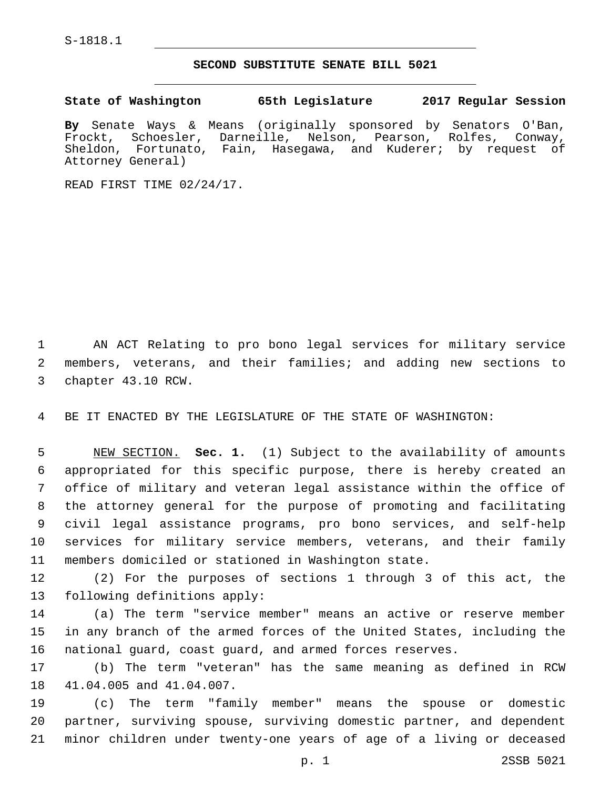S-1818.1

## **SECOND SUBSTITUTE SENATE BILL 5021**

**State of Washington 65th Legislature 2017 Regular Session**

**By** Senate Ways & Means (originally sponsored by Senators O'Ban, Frockt, Schoesler, Darneille, Nelson, Pearson, Rolfes, Conway, Sheldon, Fortunato, Fain, Hasegawa, and Kuderer; by request of Attorney General)

READ FIRST TIME 02/24/17.

1 AN ACT Relating to pro bono legal services for military service 2 members, veterans, and their families; and adding new sections to 3 chapter 43.10 RCW.

4 BE IT ENACTED BY THE LEGISLATURE OF THE STATE OF WASHINGTON:

 NEW SECTION. **Sec. 1.** (1) Subject to the availability of amounts appropriated for this specific purpose, there is hereby created an office of military and veteran legal assistance within the office of the attorney general for the purpose of promoting and facilitating civil legal assistance programs, pro bono services, and self-help services for military service members, veterans, and their family members domiciled or stationed in Washington state.

12 (2) For the purposes of sections 1 through 3 of this act, the 13 following definitions apply:

14 (a) The term "service member" means an active or reserve member 15 in any branch of the armed forces of the United States, including the 16 national guard, coast guard, and armed forces reserves.

17 (b) The term "veteran" has the same meaning as defined in RCW 18 41.04.005 and 41.04.007.

19 (c) The term "family member" means the spouse or domestic 20 partner, surviving spouse, surviving domestic partner, and dependent 21 minor children under twenty-one years of age of a living or deceased